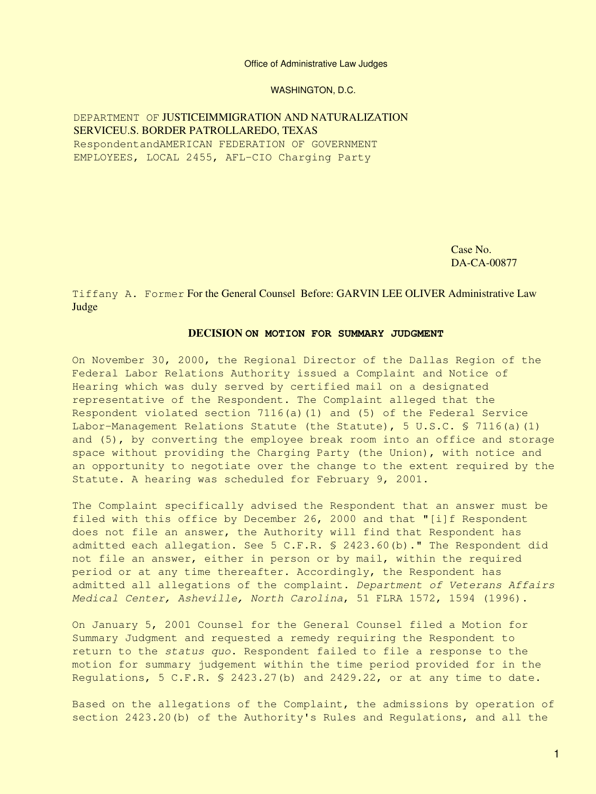#### Office of Administrative Law Judges

WASHINGTON, D.C.

## DEPARTMENT OF JUSTICEIMMIGRATION AND NATURALIZATION SERVICEU.S. BORDER PATROLLAREDO, TEXAS RespondentandAMERICAN FEDERATION OF GOVERNMENT

EMPLOYEES, LOCAL 2455, AFL-CIO Charging Party

Case No. DA-CA-00877

#### Tiffany A. Former For the General Counsel Before: GARVIN LEE OLIVER Administrative Law Judge

#### **DECISION ON MOTION FOR SUMMARY JUDGMENT**

On November 30, 2000, the Regional Director of the Dallas Region of the Federal Labor Relations Authority issued a Complaint and Notice of Hearing which was duly served by certified mail on a designated representative of the Respondent. The Complaint alleged that the Respondent violated section 7116(a)(1) and (5) of the Federal Service Labor-Management Relations Statute (the Statute), 5 U.S.C. § 7116(a)(1) and (5), by converting the employee break room into an office and storage space without providing the Charging Party (the Union), with notice and an opportunity to negotiate over the change to the extent required by the Statute. A hearing was scheduled for February 9, 2001.

The Complaint specifically advised the Respondent that an answer must be filed with this office by December 26, 2000 and that "[i]f Respondent does not file an answer, the Authority will find that Respondent has admitted each allegation. See 5 C.F.R. § 2423.60(b)." The Respondent did not file an answer, either in person or by mail, within the required period or at any time thereafter. Accordingly, the Respondent has admitted all allegations of the complaint. *Department of Veterans Affairs Medical Center, Asheville, North Carolina*, 51 FLRA 1572, 1594 (1996).

On January 5, 2001 Counsel for the General Counsel filed a Motion for Summary Judgment and requested a remedy requiring the Respondent to return to the *status quo*. Respondent failed to file a response to the motion for summary judgement within the time period provided for in the Regulations, 5 C.F.R. § 2423.27(b) and 2429.22, or at any time to date.

Based on the allegations of the Complaint, the admissions by operation of section 2423.20(b) of the Authority's Rules and Regulations, and all the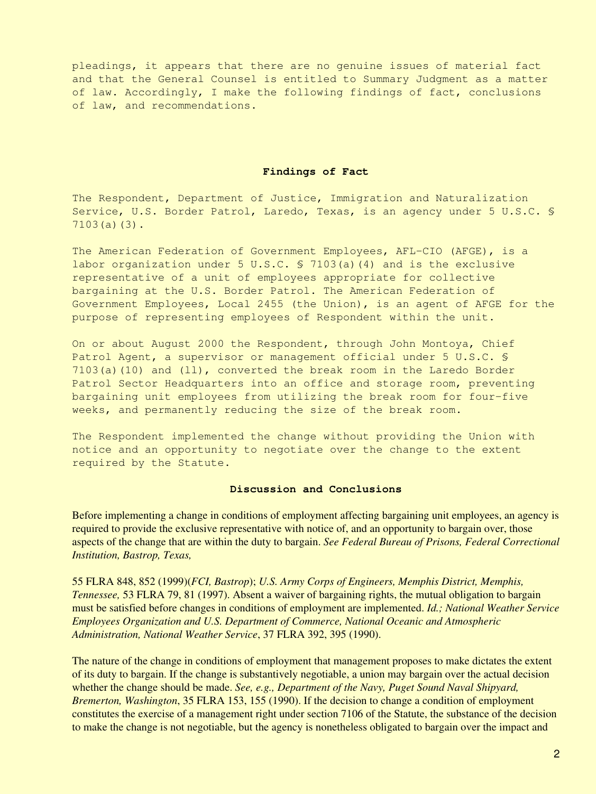pleadings, it appears that there are no genuine issues of material fact and that the General Counsel is entitled to Summary Judgment as a matter of law. Accordingly, I make the following findings of fact, conclusions of law, and recommendations.

#### **Findings of Fact**

The Respondent, Department of Justice, Immigration and Naturalization Service, U.S. Border Patrol, Laredo, Texas, is an agency under 5 U.S.C. § 7103(a)(3).

The American Federation of Government Employees, AFL-CIO (AFGE), is a labor organization under 5 U.S.C. § 7103(a)(4) and is the exclusive representative of a unit of employees appropriate for collective bargaining at the U.S. Border Patrol. The American Federation of Government Employees, Local 2455 (the Union), is an agent of AFGE for the purpose of representing employees of Respondent within the unit.

On or about August 2000 the Respondent, through John Montoya, Chief Patrol Agent, a supervisor or management official under 5 U.S.C. § 7103(a)(10) and (ll), converted the break room in the Laredo Border Patrol Sector Headquarters into an office and storage room, preventing bargaining unit employees from utilizing the break room for four-five weeks, and permanently reducing the size of the break room.

The Respondent implemented the change without providing the Union with notice and an opportunity to negotiate over the change to the extent required by the Statute.

#### **Discussion and Conclusions**

Before implementing a change in conditions of employment affecting bargaining unit employees, an agency is required to provide the exclusive representative with notice of, and an opportunity to bargain over, those aspects of the change that are within the duty to bargain. *See Federal Bureau of Prisons, Federal Correctional Institution, Bastrop, Texas,*

55 FLRA 848, 852 (1999)(*FCI, Bastrop*); *U.S. Army Corps of Engineers, Memphis District, Memphis, Tennessee,* 53 FLRA 79, 81 (1997). Absent a waiver of bargaining rights, the mutual obligation to bargain must be satisfied before changes in conditions of employment are implemented. *Id.; National Weather Service Employees Organization and U.S. Department of Commerce, National Oceanic and Atmospheric Administration, National Weather Service*, 37 FLRA 392, 395 (1990).

The nature of the change in conditions of employment that management proposes to make dictates the extent of its duty to bargain. If the change is substantively negotiable, a union may bargain over the actual decision whether the change should be made. *See, e.g., Department of the Navy, Puget Sound Naval Shipyard, Bremerton, Washington*, 35 FLRA 153, 155 (1990). If the decision to change a condition of employment constitutes the exercise of a management right under section 7106 of the Statute, the substance of the decision to make the change is not negotiable, but the agency is nonetheless obligated to bargain over the impact and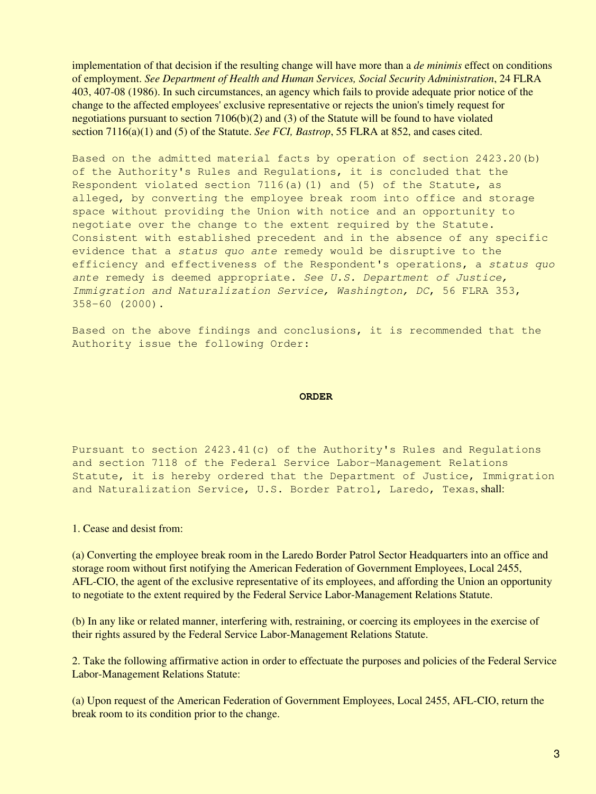implementation of that decision if the resulting change will have more than a *de minimis* effect on conditions of employment. *See Department of Health and Human Services, Social Security Administration*, 24 FLRA 403, 407-08 (1986). In such circumstances, an agency which fails to provide adequate prior notice of the change to the affected employees' exclusive representative or rejects the union's timely request for negotiations pursuant to section  $7106(b)(2)$  and  $(3)$  of the Statute will be found to have violated section 7116(a)(1) and (5) of the Statute. *See FCI, Bastrop*, 55 FLRA at 852, and cases cited.

Based on the admitted material facts by operation of section 2423.20(b) of the Authority's Rules and Regulations, it is concluded that the Respondent violated section  $7116(a)(1)$  and  $(5)$  of the Statute, as alleged, by converting the employee break room into office and storage space without providing the Union with notice and an opportunity to negotiate over the change to the extent required by the Statute. Consistent with established precedent and in the absence of any specific evidence that a *status quo ante* remedy would be disruptive to the efficiency and effectiveness of the Respondent's operations, a *status quo ante* remedy is deemed appropriate. *See U.S. Department of Justice, Immigration and Naturalization Service, Washington, DC*, 56 FLRA 353, 358-60 (2000).

Based on the above findings and conclusions, it is recommended that the Authority issue the following Order:

#### **ORDER**

Pursuant to section 2423.41(c) of the Authority's Rules and Regulations and section 7118 of the Federal Service Labor-Management Relations Statute, it is hereby ordered that the Department of Justice, Immigration and Naturalization Service, U.S. Border Patrol, Laredo, Texas, shall:

1. Cease and desist from:

(a) Converting the employee break room in the Laredo Border Patrol Sector Headquarters into an office and storage room without first notifying the American Federation of Government Employees, Local 2455, AFL-CIO, the agent of the exclusive representative of its employees, and affording the Union an opportunity to negotiate to the extent required by the Federal Service Labor-Management Relations Statute.

(b) In any like or related manner, interfering with, restraining, or coercing its employees in the exercise of their rights assured by the Federal Service Labor-Management Relations Statute.

2. Take the following affirmative action in order to effectuate the purposes and policies of the Federal Service Labor-Management Relations Statute:

(a) Upon request of the American Federation of Government Employees, Local 2455, AFL-CIO, return the break room to its condition prior to the change.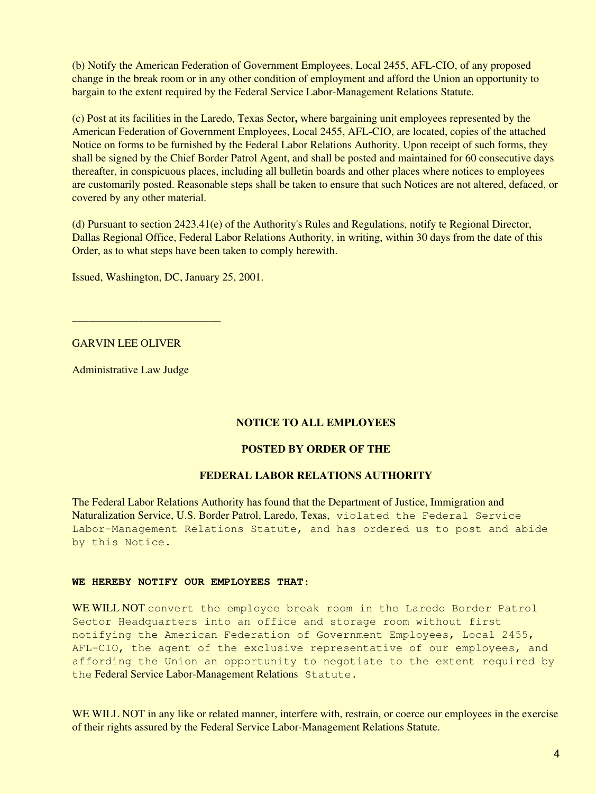(b) Notify the American Federation of Government Employees, Local 2455, AFL-CIO, of any proposed change in the break room or in any other condition of employment and afford the Union an opportunity to bargain to the extent required by the Federal Service Labor-Management Relations Statute.

(c) Post at its facilities in the Laredo, Texas Sector**,** where bargaining unit employees represented by the American Federation of Government Employees, Local 2455, AFL-CIO, are located, copies of the attached Notice on forms to be furnished by the Federal Labor Relations Authority. Upon receipt of such forms, they shall be signed by the Chief Border Patrol Agent, and shall be posted and maintained for 60 consecutive days thereafter, in conspicuous places, including all bulletin boards and other places where notices to employees are customarily posted. Reasonable steps shall be taken to ensure that such Notices are not altered, defaced, or covered by any other material.

(d) Pursuant to section 2423.41(e) of the Authority's Rules and Regulations, notify te Regional Director, Dallas Regional Office, Federal Labor Relations Authority, in writing, within 30 days from the date of this Order, as to what steps have been taken to comply herewith.

Issued, Washington, DC, January 25, 2001.

## GARVIN LEE OLIVER

\_\_\_\_\_\_\_\_\_\_\_\_\_\_\_\_\_\_\_\_\_\_\_\_\_\_\_

Administrative Law Judge

## **NOTICE TO ALL EMPLOYEES**

## **POSTED BY ORDER OF THE**

## **FEDERAL LABOR RELATIONS AUTHORITY**

The Federal Labor Relations Authority has found that the Department of Justice, Immigration and Naturalization Service, U.S. Border Patrol, Laredo, Texas, violated the Federal Service Labor-Management Relations Statute, and has ordered us to post and abide by this Notice.

#### **WE HEREBY NOTIFY OUR EMPLOYEES THAT**:

WE WILL NOT convert the employee break room in the Laredo Border Patrol Sector Headquarters into an office and storage room without first notifying the American Federation of Government Employees, Local 2455, AFL-CIO, the agent of the exclusive representative of our employees, and affording the Union an opportunity to negotiate to the extent required by the Federal Service Labor-Management Relations Statute.

WE WILL NOT in any like or related manner, interfere with, restrain, or coerce our employees in the exercise of their rights assured by the Federal Service Labor-Management Relations Statute.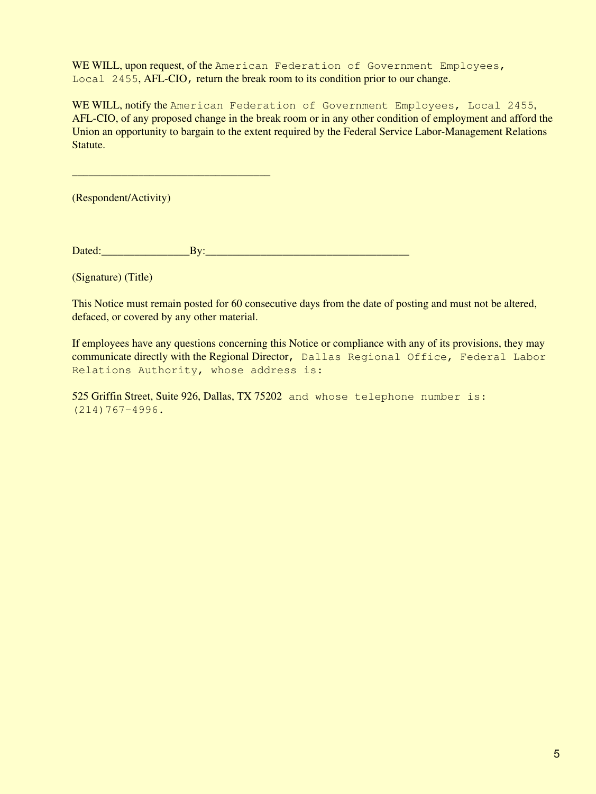WE WILL, upon request, of the American Federation of Government Employees, Local 2455, AFL-CIO, return the break room to its condition prior to our change.

WE WILL, notify the American Federation of Government Employees, Local 2455, AFL-CIO, of any proposed change in the break room or in any other condition of employment and afford the Union an opportunity to bargain to the extent required by the Federal Service Labor-Management Relations Statute.

(Respondent/Activity)

\_\_\_\_\_\_\_\_\_\_\_\_\_\_\_\_\_\_\_\_\_\_\_\_\_\_\_\_\_\_\_\_\_\_\_\_

Dated: Exercise By:

(Signature) (Title)

This Notice must remain posted for 60 consecutive days from the date of posting and must not be altered, defaced, or covered by any other material.

If employees have any questions concerning this Notice or compliance with any of its provisions, they may communicate directly with the Regional Director, Dallas Regional Office, Federal Labor Relations Authority, whose address is:

525 Griffin Street, Suite 926, Dallas, TX 75202 and whose telephone number is: (214)767-4996.